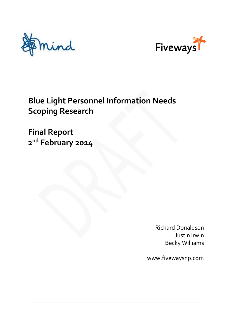



# **Blue Light Personnel Information Needs Scoping Research**

**Final Report 2 nd February 2014**

> Richard Donaldson Justin Irwin Becky Williams

www.fivewaysnp.com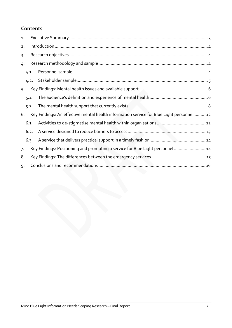# **Contents**

| 1.             |      |  |                                                                                           |  |  |  |
|----------------|------|--|-------------------------------------------------------------------------------------------|--|--|--|
| 2.             |      |  |                                                                                           |  |  |  |
| $\overline{3}$ |      |  |                                                                                           |  |  |  |
|                | 4.   |  |                                                                                           |  |  |  |
|                | 4.1. |  |                                                                                           |  |  |  |
|                | 4.2. |  |                                                                                           |  |  |  |
| 5.             |      |  |                                                                                           |  |  |  |
|                | 5.1. |  |                                                                                           |  |  |  |
|                | 5.2. |  |                                                                                           |  |  |  |
| 6.             |      |  | Key Findings: An effective mental health information service for Blue Light personnel  12 |  |  |  |
|                | 6.1. |  |                                                                                           |  |  |  |
|                | 6.2. |  |                                                                                           |  |  |  |
|                | 6.3. |  |                                                                                           |  |  |  |
| 7.             |      |  | Key Findings: Positioning and promoting a service for Blue Light personnel 14             |  |  |  |
| 8.             |      |  |                                                                                           |  |  |  |
| 9.             |      |  |                                                                                           |  |  |  |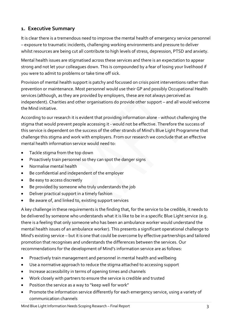# <span id="page-2-0"></span>**1. Executive Summary**

It is clear there is a tremendous need to improve the mental health of emergency service personnel – exposure to traumatic incidents, challenging working environments and pressure to deliver whilst resources are being cut all contribute to high levels of stress, depression, PTSD and anxiety.

Mental health issues are stigmatised across these services and there is an expectation to appear strong and not let your colleagues down. This is compounded by a fear of losing your livelihood if you were to admit to problems or take time off sick.

Provision of mental health support is patchy and focussed on crisis point interventions rather than prevention or maintenance. Most personnel would use their GP and possibly Occupational Health services (although, as they are provided by employers, these are not always perceived as independent). Charities and other organisations do provide other support – and all would welcome the Mind initiative.

According to our research it is evident that providing information alone - without challenging the stigma that would prevent people accessing it - would not be effective. Therefore the success of this service is dependent on the success of the other strands of Mind's Blue Light Programme that challenge this stigma and work with employers. From our research we conclude that an effective mental health information service would need to:

- Tackle stigma from the top down
- Proactively train personnel so they can spot the danger signs
- Normalise mental health
- Be confidential and independent of the employer
- Be easy to access discreetly
- Be provided by someone who truly understands the job
- Deliver practical support in a timely fashion
- Be aware of, and linked to, existing support services

A key challenge in these requirements is the finding that, for the service to be credible, it needs to be delivered by someone who understands what it is like to be in a specific Blue Light service (e.g. there is a feeling that only someone who has been an ambulance worker would understand the mental health issues of an ambulance worker). This presents a significant operational challenge to Mind's existing service – but it is one that could be overcome by effective partnerships and tailored promotion that recognises and understands the differences between the services. Our recommendations for the development of Mind's information service are as follows:

- Proactively train management and personnel in mental health and wellbeing
- Use a normative approach to reduce the stigma attached to accessing support
- Increase accessibility in terms of opening times and channels
- Work closely with partners to ensure the service is credible and trusted
- Position the service as a way to "keep well for work"
- Promote the information service differently for each emergency service, using a variety of communication channels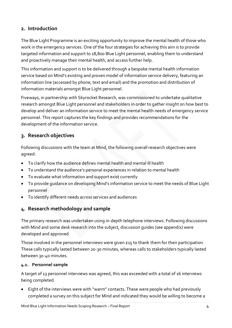# <span id="page-3-0"></span>**2. Introduction**

The Blue Light Programme is an exciting opportunity to improve the mental health of those who work in the emergency services. One of the four strategies for achieving this aim is to provide targeted information and support to 18,800 Blue Light personnel, enabling them to understand and proactively manage their mental health, and access further help.

This information and support is to be delivered through a bespoke mental health information service based on Mind's existing and proven model of information service delivery, featuring an information line (accessed by phone, text and email) and the promotion and distribution of information materials amongst Blue Light personnel.

Fiveways, in partnership with Skyrocket Research, was commissioned to undertake qualitative research amongst Blue Light personnel and stakeholders in order to gather insight on how best to develop and deliver an information service to meet the mental health needs of emergency service personnel. This report captures the key findings and provides recommendations for the development of the information service.

# <span id="page-3-1"></span>**3. Research objectives**

Following discussions with the team at Mind, the following overall research objectives were agreed:

- To clarify how the audience defines mental health and mental ill health
- To understand the audience's personal experiences in relation to mental health
- To evaluate what information and support exist currently
- To provide guidance on developing Mind's information service to meet the needs of Blue Light personnel
- To identify different needs across services and audiences

# <span id="page-3-2"></span>**4. Research methodology and sample**

The primary research was undertaken using in-depth telephone interviews. Following discussions with Mind and some desk research into the subject, discussion guides (see appendix) were developed and approved.

Those involved in the personnel interviews were given £15 to thank them for their participation. These calls typically lasted between 20-30 minutes, whereas calls to stakeholders typically lasted between 30-40 minutes.

#### <span id="page-3-3"></span>**4.1. Personnel sample**

A target of 13 personnel interviews was agreed, this was exceeded with a total of 16 interviews being completed.

 Eight of the interviews were with "warm" contacts. These were people who had previously completed a survey on this subject for Mind and indicated they would be willing to become a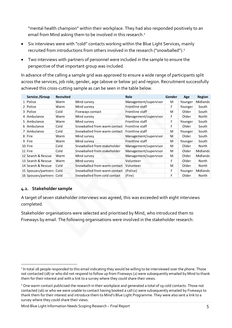"mental health champion" within their workplace. They had also responded positively to an email from Mind asking them to be involved in this research.<sup>1</sup>

- Six interviews were with "cold" contacts working within the Blue Light Services, mainly recruited from introductions from others involved in the research ("snowballed").<sup>2</sup>
- Two interviews with partners of personnel were included in the sample to ensure the perspective of that important group was included.

In advance of the calling a sample grid was approved to ensure a wide range of participants split across the services, job role, gender, age (above or below 30) and region. Recruitment successfully achieved this cross-cutting sample as can be seen in the table below.

|                                                                                                                                                                                                                                                                                                                                                                                                                                                                                                                                                                                                                                                                                                                                                                            | Service / Group          | Recruited |                              | Role                  | Gender | Age     | Region   |
|----------------------------------------------------------------------------------------------------------------------------------------------------------------------------------------------------------------------------------------------------------------------------------------------------------------------------------------------------------------------------------------------------------------------------------------------------------------------------------------------------------------------------------------------------------------------------------------------------------------------------------------------------------------------------------------------------------------------------------------------------------------------------|--------------------------|-----------|------------------------------|-----------------------|--------|---------|----------|
|                                                                                                                                                                                                                                                                                                                                                                                                                                                                                                                                                                                                                                                                                                                                                                            | $1$ Police               | Warm      | Mind survey                  | Management/supervisor | M      | Younger | Midlands |
|                                                                                                                                                                                                                                                                                                                                                                                                                                                                                                                                                                                                                                                                                                                                                                            | 2 Police                 | Warm      | Mind survey                  | Frontline staff       | F      | Younger | South    |
|                                                                                                                                                                                                                                                                                                                                                                                                                                                                                                                                                                                                                                                                                                                                                                            | 3 Police                 | Cold      | Fiveways contact             | Frontline staff       | M      | Older   | South    |
|                                                                                                                                                                                                                                                                                                                                                                                                                                                                                                                                                                                                                                                                                                                                                                            | 4 Ambulance              | Warm      | Mind survey                  | Management/supervisor | F      | Older   | North    |
|                                                                                                                                                                                                                                                                                                                                                                                                                                                                                                                                                                                                                                                                                                                                                                            | 5 Ambulance              | Warm      | Mind survey                  | Frontline staff       | F      | Younger | South    |
|                                                                                                                                                                                                                                                                                                                                                                                                                                                                                                                                                                                                                                                                                                                                                                            | 6 Ambulance              | Cold      | Snowballed from warm contact | Frontline staff       | F      | Older   | South    |
|                                                                                                                                                                                                                                                                                                                                                                                                                                                                                                                                                                                                                                                                                                                                                                            | 7 Ambulance              | Cold      | Snowballed from warm contact | Frontline staff       | M      | Younger | South    |
|                                                                                                                                                                                                                                                                                                                                                                                                                                                                                                                                                                                                                                                                                                                                                                            | 8 Fire                   | Warm      | Mind survey                  | Management/supervisor | M      | Older   | South    |
|                                                                                                                                                                                                                                                                                                                                                                                                                                                                                                                                                                                                                                                                                                                                                                            | 9 Fire                   | Warm      | Mind survey                  | Frontline staff       | M      | Younger | South    |
|                                                                                                                                                                                                                                                                                                                                                                                                                                                                                                                                                                                                                                                                                                                                                                            | 10 Fire                  | Cold      | Snowballed from stakeholder  | Management/supervisor | M      | Older   | North    |
|                                                                                                                                                                                                                                                                                                                                                                                                                                                                                                                                                                                                                                                                                                                                                                            | $11$ Fire                | Cold      | Snowballed from stakeholder  | Management/supervisor | M      | Older   | Midlands |
|                                                                                                                                                                                                                                                                                                                                                                                                                                                                                                                                                                                                                                                                                                                                                                            | 12 Search & Rescue       | Warm      | Mind survey                  | Management/supervisor | M      | Older   | Midlands |
|                                                                                                                                                                                                                                                                                                                                                                                                                                                                                                                                                                                                                                                                                                                                                                            | 13 Search & Rescue       | Warm      | Mind survey                  | Volunteer             | F      | Older   | North    |
|                                                                                                                                                                                                                                                                                                                                                                                                                                                                                                                                                                                                                                                                                                                                                                            | 14 Search & Rescue       | Cold      | Snowballed from warm contact | Volunteer             | M      | Older   | North    |
|                                                                                                                                                                                                                                                                                                                                                                                                                                                                                                                                                                                                                                                                                                                                                                            | 15 Spouses/partners Cold |           | Snowballed from warm contact | (Police)              | F      | Younger | Midlands |
|                                                                                                                                                                                                                                                                                                                                                                                                                                                                                                                                                                                                                                                                                                                                                                            | 16 Spouses/partners Cold |           | Snowballed from cold contact | (Fire)                | F      | Older   | North    |
| completed.<br>Stakeholder organisations were selected and prioritised by Mind, who introduced them to<br>Fiveways by email. The following organisations were involved in the stakeholder research:                                                                                                                                                                                                                                                                                                                                                                                                                                                                                                                                                                         |                          |           |                              |                       |        |         |          |
| <sup>1</sup> In total 28 people responded to this email indicating they would be willing to be interviewed over the phone. Those<br>not contacted (18) or who did not respond to follow up from Fiveways (2) were subsequently emailed by Mind to thank<br>them for their interest and with a link to a survey where they could share their views.<br><sup>2</sup> One warm contact publicised the research in their workplace and generated a total of 19 cold contacts. Those not<br>contacted (16) or who we were unable to contact having booked a call (1) were subsequently emailed by Fiveways to<br>thank them for their interest and introduce them to Mind's Blue Light Programme. They were also sent a link to a<br>survey where they could share their views. |                          |           |                              |                       |        |         |          |

#### <span id="page-4-0"></span>**4.2. Stakeholder sample**

Mind Blue Light Information Needs Scoping Research – Final Report 5

<sup>-</sup><sup>1</sup> In total 28 people responded to this email indicating they would be willing to be interviewed over the phone. Those not contacted (18) or who did not respond to follow up from Fiveways (2) were subsequently emailed by Mind to thank them for their interest and with a link to a survey where they could share their views.

<sup>&</sup>lt;sup>2</sup> One warm contact publicised the research in their workplace and generated a total of 19 cold contacts. Those not contacted (16) or who we were unable to contact having booked a call (1) were subsequently emailed by Fiveways to thank them for their interest and introduce them to Mind's Blue Light Programme. They were also sent a link to a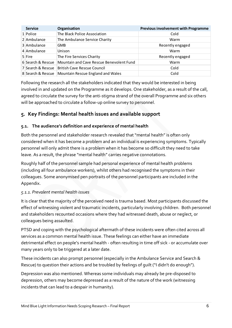| <b>Service</b>    | Organisation                             | <b>Previous involvement with Programme</b> |
|-------------------|------------------------------------------|--------------------------------------------|
| 1 Police          | The Black Police Association             | Cold                                       |
| $2$ Ambulance     | The Ambulance Service Charity            | Warm                                       |
| 3 Ambulance       | <b>GMB</b>                               | Recently engaged                           |
| 4 Ambulance       | <b>Unison</b>                            | Warm                                       |
| 5 Fire            | The Fire Services Charity                | Recently engaged                           |
| 6 Search & Rescue | Mountain and Cave Rescue Benevolent Fund | Warm                                       |
| 7 Search & Rescue | <b>British Cave Rescue Council</b>       | Cold                                       |
| 8 Search & Rescue | Mountain Rescue England and Wales        | Cold                                       |

Following the research all the stakeholders indicated that they would be interested in being involved in and updated on the Programme as it develops. One stakeholder, as a result of the call, agreed to circulate the survey for the anti-stigma strand of the overall Programme and six others will be approached to circulate a follow-up online survey to personnel.

# <span id="page-5-0"></span>**5. Key Findings: Mental health issues and available support**

## <span id="page-5-1"></span>**5.1. The audience's definition and experience of mental health**

Both the personnel and stakeholder research revealed that "mental health" is often only considered when it has become a problem and an individual is experiencing symptoms. Typically personnel will only admit there is a problem when it has become so difficult they need to take leave. As a result, the phrase "mental health" carries negative connotations.

Roughly half of the personnel sample had personal experience of mental health problems (including all four ambulance workers), whilst others had recognised the symptoms in their colleagues. Some anonymised pen portraits of the personnel participants are included in the Appendix.

#### *5.1.1. Prevalent mental health issues*

It is clear that the majority of the perceived need is trauma based. Most participants discussed the effect of witnessing violent and traumatic incidents, particularly involving children. Both personnel and stakeholders recounted occasions where they had witnessed death, abuse or neglect, or colleagues being assaulted.

PTSD and coping with the psychological aftermath of these incidents were often cited across all services as a common mental health issue. These feelings can either have an immediate detrimental effect on people's mental health - often resulting in time off sick - or accumulate over many years only to be triggered at a later date.

These incidents can also prompt personnel (especially in the Ambulance Service and Search & Rescue) to question their actions and be troubled by feelings of guilt ("I didn't do enough").

Depression was also mentioned. Whereas some individuals may already be pre-disposed to depression, others may become depressed as a result of the nature of the work (witnessing incidents that can lead to a despair in humanity).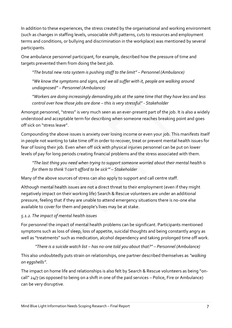In addition to these experiences, the stress created by the organisational and working environment (such as changes in staffing levels, unsociable shift patterns, cuts to resources and employment terms and conditions, or bullying and discrimination in the workplace) was mentioned by several participants.

One ambulance personnel participant, for example, described how the pressure of time and targets prevented them from doing the best job.

*"The brutal new rota system is pushing staff to the limit" – Personnel (Ambulance)*

*"We know the symptoms and signs, and we all suffer with it, people are walking around undiagnosed" – Personnel (Ambulance)*

*"Workers are doing increasingly demanding jobs at the same time that they have less and less control over how those jobs are done – this is very stressful" - Stakeholder*

Amongst personnel,"stress" is very much seen as an ever-present part of the job. It is also a widely understood and acceptable term for describing when someone reaches breaking point and goes off sick on "stress leave".

Compounding the above issues is anxiety over losing income or even your job. This manifests itself in people not wanting to take time off in order to recover, treat or prevent mental health issues for fear of losing their job. Even when off sick with physical injuries personnel can be put on lower levels of pay for long periods creating financial problems and the stress associated with them.

*"The last thing you need when trying to support someone worried about their mental health is for them to think 'I can't afford to be sick'" – Stakeholder*

Many of the above sources of stress can also apply to support and call centre staff.

Although mental health issues are not a direct threat to their employment (even if they might negatively impact on their working life) Search & Rescue volunteers are under an additional pressure, feeling that if they are unable to attend emergency situations there is no-one else available to cover for them and people's lives may be at stake.

# *5.1.2. The impact of mental health issues*

For personnel the impact of mental health problems can be significant. Participants mentioned symptoms such as loss of sleep, loss of appetite, suicidal thoughts and being constantly angry as well as "treatments" such as medication, alcohol dependency and taking prolonged time off work.

# *"There is a suicide watch list – has no-one told you about that?" – Personnel (Ambulance)*

This also undoubtedly puts strain on relationships, one partner described themselves as *"walking on eggshells"*.

The impact on home life and relationships is also felt by Search & Rescue volunteers as being "oncall" 24/7 (as opposed to being on a shift in one of the paid services – Police, Fire or Ambulance) can be very disruptive.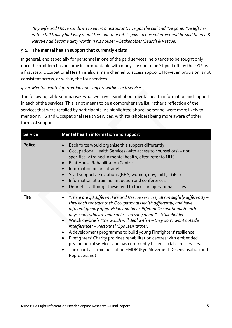*"My wife and I have sat down to eat in a restaurant, I've got the call and I've gone. I've left her with a full trolley half way round the supermarket. I spoke to one volunteer and he said Search & Rescue had become dirty words in his house" – Stakeholder (Search & Rescue)*

#### <span id="page-7-0"></span>**5.2. The mental health support that currently exists**

In general, and especially for personnel in one of the paid services, help tends to be sought only once the problem has become insurmountable with many seeking to be 'signed off' by their GP as a first step. Occupational Health is also a main channel to access support. However, provision is not consistent across, or within, the four services.

## *5.2.1.Mental health information and support within each service*

The following table summarises what we have learnt about mental health information and support in each of the services. This is not meant to be a comprehensive list, rather a reflection of the services that were recalled by participants. As highlighted above, personnel were more likely to mention NHS and Occupational Health Services, with stakeholders being more aware of other forms of support.

| <b>Service</b> | Mental health information and support                                                                                                                                                                                                                                                                                                                                                                                                                                                                                                                                                                                                                                                                                                                                                      |  |  |
|----------------|--------------------------------------------------------------------------------------------------------------------------------------------------------------------------------------------------------------------------------------------------------------------------------------------------------------------------------------------------------------------------------------------------------------------------------------------------------------------------------------------------------------------------------------------------------------------------------------------------------------------------------------------------------------------------------------------------------------------------------------------------------------------------------------------|--|--|
| <b>Police</b>  | Each force would organise this support differently<br>$\bullet$<br>Occupational Health Services (with access to counsellors) - not<br>$\bullet$<br>specifically trained in mental health, often refer to NHS<br><b>Flint House Rehabilitation Centre</b><br>Information on an intranet<br>$\bullet$<br>Staff support associations (BPA, women, gay, faith, LGBT)<br>Information at training, induction and conferences<br>$\bullet$<br>Debriefs - although these tend to focus on operational issues<br>$\bullet$                                                                                                                                                                                                                                                                          |  |  |
| <b>Fire</b>    | "There are 48 different Fire and Rescue services, all run slightly differently –<br>they each contract their Occupational Health differently, and have<br>different quality of provision and have different Occupational Health<br>physicians who are more or less on song or not" - Stakeholder<br>Watch de-briefs "the watch will deal with it - they don't want outside<br>$\bullet$<br>interference" - Personnel (Spouse/Partner)<br>A development programme to build young Firefighters' resilience<br>$\bullet$<br>Firefighters' Charity provides rehabilitation centres with embedded<br>$\bullet$<br>psychological services and has community based social care services.<br>The charity is training staff in EMDR (Eye Movement Desensitisation and<br>$\bullet$<br>Reprocessing) |  |  |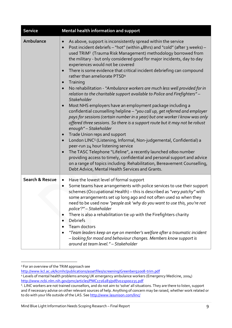| <b>Service</b>             | Mental health information and support                                                                                                                                                                                                                                                                                                                                                                                                                                                                                                                                                                                                                                                                                                                                                                                                                                                                                                                                                                                                                                                                                                                                                                                                                                                                                                                                                                                                                                                                                                                    |  |  |  |
|----------------------------|----------------------------------------------------------------------------------------------------------------------------------------------------------------------------------------------------------------------------------------------------------------------------------------------------------------------------------------------------------------------------------------------------------------------------------------------------------------------------------------------------------------------------------------------------------------------------------------------------------------------------------------------------------------------------------------------------------------------------------------------------------------------------------------------------------------------------------------------------------------------------------------------------------------------------------------------------------------------------------------------------------------------------------------------------------------------------------------------------------------------------------------------------------------------------------------------------------------------------------------------------------------------------------------------------------------------------------------------------------------------------------------------------------------------------------------------------------------------------------------------------------------------------------------------------------|--|--|--|
| Ambulance                  | As above, support is inconsistently spread within the service<br>$\bullet$<br>Post incident debriefs - "hot" (within 48hrs) and "cold" (after 3 weeks) -<br>$\bullet$<br>used TRiM <sup>3</sup> (Trauma Risk Management) methodology borrowed from<br>the military - but only considered good for major incidents, day to day<br>experiences would not be covered<br>There is some evidence that critical incident debriefing can compound<br>$\bullet$<br>rather than ameliorate PTSD <sup>4</sup><br>Training<br>$\bullet$<br>No rehabilitation - "Ambulance workers are much less well provided for in<br>$\bullet$<br>relation to the charitable support available to Police and Firefighters" -<br><b>Stakeholder</b><br>Most NHS employers have an employment package including a<br>$\bullet$<br>confidential counselling helpline - "you call up, get referred and employer<br>pays for sessions (certain number in a year) but one worker I know was only<br>offered three sessions. So there is a support route but it may not be robust<br>enough" - Stakeholder<br>Trade Union reps and support<br>$\bullet$<br>London LINC <sup>5</sup> (Listening, Informal, Non-judgemental, Confidential) a<br>$\bullet$<br>peer-run 24 hour listening service<br>The TASC Telephone "Lifeline", a recently launched o800 number<br>$\bullet$<br>providing access to timely, confidential and personal support and advice<br>on a range of topics including: Rehabilitation, Bereavement Counselling,<br>Debt Advice, Mental Health Services and Grants. |  |  |  |
| <b>Search &amp; Rescue</b> | Have the lowest level of formal support<br>$\bullet$<br>Some teams have arrangements with police services to use their support<br>$\bullet$<br>schemes (Occupational Health) - this is described as "very patchy" with<br>some arrangements set up long ago and not often used so when they<br>need to be used now "people ask 'why do you want to use this, you're not<br>police'?" - Stakeholder<br>There is also a rehabilitation tie up with the Firefighters charity<br><b>Debriefs</b><br>Team doctors<br>"Team leaders keep an eye on member's welfare after a traumatic incident<br>$\bullet$<br>- looking for mood and behaviour changes. Members know support is<br>around at team level." - Stakeholder                                                                                                                                                                                                                                                                                                                                                                                                                                                                                                                                                                                                                                                                                                                                                                                                                                       |  |  |  |

<sup>-</sup><sup>3</sup> For an overview of the TRiM approach see

<http://www.kcl.ac.uk/kcmhr/publications/assetfiles/screening/Greenberg2008-trim.pdf>

<sup>4</sup> Levels of mental health problems among UK emergency ambulance workers (Emergency Medicine, 2004) <http://www.ncbi.nlm.nih.gov/pmc/articles/PMC1726283/pdf/v021p00235.pdf>

<sup>5</sup> . LINC workers are not trained counsellors, and do not aim to 'solve' all situations. They are there to listen, support and if necessary advise on other relevant sources of help. Anything of concern may be raised, whether work related or to do with your life outside of the LAS. Se[e http://www.lasunison.com/linc/](http://www.lasunison.com/linc/)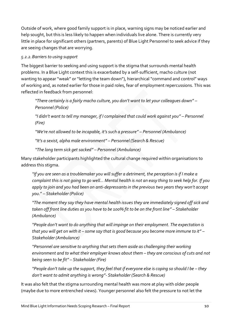Outside of work, where good family support is in place, warning signs may be noticed earlier and help sought, but this is less likely to happen when individuals live alone. There is currently very little in place for significant others (partners, parents) of Blue Light Personnel to seek advice if they are seeing changes that are worrying.

## *5.2.2.Barriers to using support*

The biggest barrier to seeking and using support is the stigma that surrounds mental health problems. In a Blue Light context this is exacerbated by a self-sufficient, macho culture (not wanting to appear "weak" or "letting the team down"), hierarchical "command and control" ways of working and, as noted earlier for those in paid roles, fear of employment repercussions. This was reflected in feedback from personnel:

*"There certainly is a fairly macho culture, you don't want to let your colleagues down" – Personnel (Police)*

*"I didn't want to tell my manager, if I complained that could work against you" – Personnel (Fire)*

*"We're not allowed to be incapable, it's such a pressure" – Personnel (Ambulance)*

*"It's a sexist, alpha male environment" – Personnel (Search & Rescue)*

*"The long term sick get sacked" – Personnel (Ambulance)*

Many stakeholder participants highlighted the cultural change required within organisations to address this stigma.

*"If you are seen as a troublemaker you will suffer a detriment, the perception is if I make a complaint this is not going to go well… Mental health is not an easy thing to seek help for. If you apply to join and you had been on anti-depressants in the previous two years they won't accept you*." – *Stakeholder (Police)*

*"The moment they say they have mental health issues they are immediately signed off sick and taken off front line duties as you have to be 100% fit to be on the front line" – Stakeholder (Ambulance)*

*"People don't want to do anything that will impinge on their employment. The expectation is that you will get on with it – some say that is good because you become more immune to it" – Stakeholder (Ambulance)*

*"Personnel are sensitive to anything that sets them aside as challenging their working environment and to what their employer knows about them – they are conscious of cuts and not being seen to be fit" – Stakeholder (Fire)*

*"People don't take up the support, they feel that if everyone else is coping so should I be – they don't want to admit anything is wrong"- Stakeholder (Search & Rescue)*

It was also felt that the stigma surrounding mental health was more at play with older people (maybe due to more entrenched views). Younger personnel also felt the pressure to not let the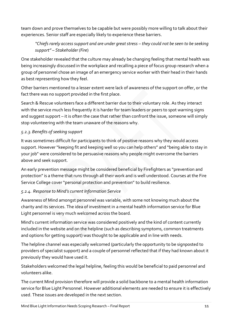team down and prove themselves to be capable but were possibly more willing to talk about their experiences. Senior staff are especially likely to experience these barriers.

## *"Chiefs rarely access support and are under great stress – they could not be seen to be seeking support" – Stakeholder (Fire*)

One stakeholder revealed that the culture may already be changing feeling that mental health was being increasingly discussed in the workplace and recalling a piece of focus group research when a group of personnel chose an image of an emergency service worker with their head in their hands as best representing how they feel.

Other barriers mentioned to a lesser extent were lack of awareness of the support on offer, or the fact there was no support provided in the first place.

Search & Rescue volunteers face a different barrier due to their voluntary role. As they interact with the service much less frequently it is harder for team leaders or peers to spot warning signs and suggest support – it is often the case that rather than confront the issue, someone will simply stop volunteering with the team unaware of the reasons why.

## *5.2.3.Benefits of seeking support*

It was sometimes difficult for participants to think of positive reasons why they would access support. However "keeping fit and keeping well so you can help others" and "being able to stay in your job" were considered to be persuasive reasons why people might overcome the barriers above and seek support.

An early prevention message might be considered beneficial by Firefighters as "prevention and protection" is a theme that runs through all their work and is well understood. Courses at the Fire Service College cover "personal protection and prevention" to build resilience.

## *5.2.4. Response to Mind's current Information Service*

Awareness of Mind amongst personnel was variable, with some not knowing much about the charity and its services. The idea of investment in a mental health information service for Blue Light personnel is very much welcomed across the board.

Mind's current information service was considered positively and the kind of content currently included in the website and on the helpline (such as describing symptoms, common treatments and options for getting support) was thought to be applicable and in line with needs.

The helpline channel was especially welcomed (particularly the opportunity to be signposted to providers of specialist support) and a couple of personnel reflected that if they had known about it previously they would have used it.

Stakeholders welcomed the legal helpline, feeling this would be beneficial to paid personnel and volunteers alike.

The current Mind provision therefore will provide a solid backbone to a mental health information service for Blue Light Personnel. However additional elements are needed to ensure it is effectively used. These issues are developed in the next section.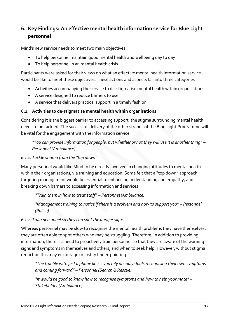# <span id="page-11-0"></span>**6. Key Findings: An effective mental health information service for Blue Light personnel**

Mind's new service needs to meet two main objectives:

- To help personnel maintain good mental health and wellbeing day to day
- To help personnel in an mental health crisis

Participants were asked for their views on what an effective mental health information service would be like to meet these objectives. These actions and aspects fall into three categories

- Activities accompanying the service to de-stigmatise mental health within organisations
- A service designed to reduce barriers to use
- A service that delivers practical support in a timely fashion

## <span id="page-11-1"></span>**6.1. Activities to de-stigmatise mental health within organisations**

Considering it is the biggest barrier to accessing support, the stigma surrounding mental health needs to be tackled. The successful delivery of the other strands of the Blue Light Programme will be vital for the engagement with the information service.

*"You can provide information for people, but whether or not they will use it is another thing" – Personnel (Ambulance)*

## *6.1.1. Tackle stigma from the "top down"*

Many personnel would like Mind to be directly involved in changing attitudes to mental health within their organisations, via training and education. Some felt that a "top down" approach, targeting management would be essential to enhancing understanding and empathy, and breaking down barriers to accessing information and services.

*"Train them in how to treat staff" – Personnel (Ambulance)*

*"Management training to notice if there is a problem and how to support you" – Personnel (Police)*

## *6.1.2.Train personnel so they can spot the danger signs*

Whereas personnel may be slow to recognise the mental health problems they have themselves, they are often able to spot others who may be struggling. Therefore, in addition to providing information, there is a need to proactively train personnel so that they are aware of the warning signs and symptoms in themselves and others, and when to seek help. However, without stigma reduction this may encourage or justify finger-pointing.

*"The trouble with just a phone line is you rely on individuals recognising their own symptoms and coming forward" – Personnel (Search & Rescue)*

*"It would be good to know how to recognise symptoms and how to help your mate" – Stakeholder (Ambulance)*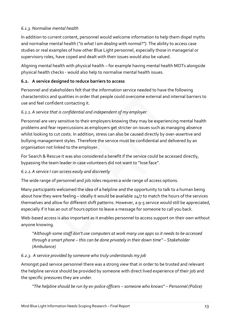## *6.1.3.Normalise mental health*

In addition to current content, personnel would welcome information to help them dispel myths and normalise mental health (*"is what I am dealing with normal?").* The ability to access case studies or real examples of how other Blue Light personnel, especially those in managerial or supervisory roles, have coped and dealt with their issues would also be valued.

Aligning mental health with physical health – for example having mental health MOTs alongside physical health checks - would also help to normalise mental health issues.

## <span id="page-12-0"></span>**6.2. A service designed to reduce barriers to access**

Personnel and stakeholders felt that the information service needed to have the following characteristics and qualities in order that people could overcome external and internal barriers to use and feel confident contacting it.

## *6.2.1.A service that is confidential and independent of my employer*

Personnel are very sensitive to their employers knowing they may be experiencing mental health problems and fear repercussions as employers get stricter on issues such as managing absence whilst looking to cut costs. In addition, stress can also be caused directly by over-assertive and bullying management styles. Therefore the service must be confidential and delivered by an organisation not linked to the employer.

For Search & Rescue it was also considered a benefit if the service could be accessed directly, bypassing the team leader in case volunteers did not want to "lose face".

#### *6.2.2.A service I can access easily and discreetly*

The wide range of personnel and job roles requires a wide range of access options.

Many participants welcomed the idea of a helpline and the opportunity to talk to a human being about how they were feeling – ideally it would be available 24/7 to match the hours of the services themselves and allow for different shift patterns. However, a 9-5 service would still be appreciated, especially if it has an out of hours option to leave a message for someone to call you back.

Web-based access is also important as it enables personnel to access support on their own without anyone knowing.

*"Although some staff don't use computers at work many use apps so it needs to be accessed through a smart phone – this can be done privately in their down time" – Stakeholder (Ambulance)*

#### *6.2.3. A service provided by someone who truly understands my job*

Amongst paid service personnel there was a strong view that in order to be trusted and relevant the helpline service should be provided by someone with direct lived experience of their job and the specific pressures they are under.

*"The helpline should be run by ex-police officers – someone who knows" – Personnel (Police)*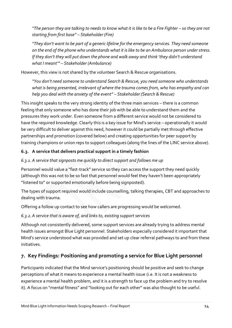*"The person they are talking to needs to know what it is like to be a Fire Fighter – so they are not starting from first base" – Stakeholder (Fire)*

*"They don't want to be part of a generic lifeline for the emergency services. They need someone on the end of the phone who understands what it is like to be an Ambulance person under stress. If they don't they will put down the phone and walk away and think 'they didn't understand what I meant'" – Stakeholder (Ambulance)*

However, this view is not shared by the volunteer Search & Rescue organisations.

*"You don't need someone to understand Search & Rescue, you need someone who understands what is being presented, irrelevant of where the trauma comes from, who has empathy and can help you deal with the anxiety of the event" – Stakeholder (Search & Rescue)*

This insight speaks to the very strong identity of the three main services – there is a common feeling that only someone who has done their job with be able to understand them and the pressures they work under. Even someone from a different service would not be considered to have the required knowledge. Clearly this is a key issue for Mind's service – operationally it would be very difficult to deliver against this need, however it could be partially met through effective partnerships and promotion (covered below) and creating opportunities for peer support by training champions or union reps to support colleagues (along the lines of the LINC service above).

## <span id="page-13-0"></span>**6.3. A service that delivers practical support in a timely fashion**

## *6.3.1. A service that signposts me quickly to direct support and follows me up*

Personnel would value a "fast-track" service so they can access the support they need quickly (although this was not to be so fast that personnel would feel they haven't been appropriately "listened to" or supported emotionally before being signposted).

The types of support required would include counselling, talking therapies, CBT and approaches to dealing with trauma.

Offering a follow up contact to see how callers are progressing would be welcomed.

## *6.3.2.A service that is aware of, and links to, existing support services*

Although not consistently delivered, some support services are already trying to address mental health issues amongst Blue Light personnel. Stakeholders especially considered it important that Mind's service understood what was provided and set up clear referral pathways to and from these initiatives.

# <span id="page-13-1"></span>**7. Key Findings: Positioning and promoting a service for Blue Light personnel**

Participants indicated that the Mind service's positioning should be positive and seek to change perceptions of what it means to experience a mental health issue (i.e. It is not a weakness to experience a mental health problem, and it is a strength to face up the problem and try to resolve it). A focus on "mental fitness" and "looking out for each other" was also thought to be useful.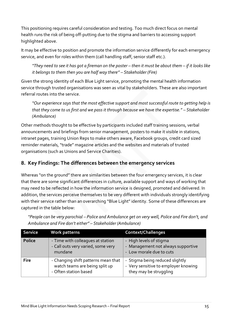This positioning requires careful consideration and testing. Too much direct focus on mental health runs the risk of being off-putting due to the stigma and barriers to accessing support highlighted above.

It may be effective to position and promote the information service differently for each emergency service, and even for roles within them (call handling staff, senior staff etc.).

*"They need to see it has got a fireman on the poster – then it must be about them – if it looks like it belongs to them then you are half way there" – Stakeholder (Fire)*

Given the strong identity of each Blue Light service, promoting the mental health information service through trusted organisations was seen as vital by stakeholders. These are also important referral routes into the service.

*"Our experience says that the most effective support and most successful route to getting help is that they come to us first and we pass it through because we have the expertise." – Stakeholder (Ambulance)*

Other methods thought to be effective by participants included staff training sessions, verbal announcements and briefings from senior management, posters to make it visible in stations, intranet pages, training Union Reps to make others aware, Facebook groups, credit card sized reminder materials, "trade" magazine articles and the websites and materials of trusted organisations (such as Unions and Service Charities).

# <span id="page-14-0"></span>**8. Key Findings: The differences between the emergency services**

Whereas "on the ground" there are similarities between the four emergency services, it is clear that there are some significant differences in culture, available support and ways of working that may need to be reflected in how the information service is designed, promoted and delivered. In addition, the services perceive themselves to be very different with individuals strongly identifying with their service rather than an overarching "Blue Light" identity. Some of these differences are captured in the table below:

| <b>Service</b> | <b>Work patterns</b>                                                                           | Context/Challenges                                                                                |
|----------------|------------------------------------------------------------------------------------------------|---------------------------------------------------------------------------------------------------|
| <b>Police</b>  | - Time with colleagues at station<br>- Call outs very varied, some very<br>mundane             | - High levels of stigma<br>- Management not always supportive<br>- Low morale due to cuts         |
| <b>Fire</b>    | - Changing shift patterns mean that<br>watch teams are being split up<br>- Often station based | - Stigma being reduced slightly<br>- Very sensitive to employer knowing<br>they may be struggling |

*"People can be very parochial – Police and Ambulance get on very well, Police and Fire don't, and Ambulance and Fire don't either" – Stakeholder (Ambulance)*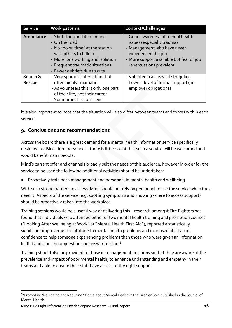| <b>Service</b>            | Work patterns                                                                                                                                                                                                     | <b>Context/Challenges</b>                                                                                                                                                                    |
|---------------------------|-------------------------------------------------------------------------------------------------------------------------------------------------------------------------------------------------------------------|----------------------------------------------------------------------------------------------------------------------------------------------------------------------------------------------|
| Ambulance                 | - Shifts long and demanding<br>- On the road<br>- No "down time" at the station<br>with others to talk to<br>- More lone working and isolation<br>- Frequent traumatic situations<br>- Fewer debriefs due to cuts | - Good awareness of mental health<br>issues (especially trauma)<br>- Management who have never<br>experienced the job<br>- More support available but fear of job<br>repercussions prevalent |
| Search &<br><b>Rescue</b> | - Very sporadic interactions but<br>often highly traumatic<br>- As volunteers this is only one part<br>of their life, not their career<br>- Sometimes first on scene                                              | - Volunteer can leave if struggling<br>- Lowest level of formal support (no<br>employer obligations)                                                                                         |

It is also important to note that the situation will also differ between teams and forces within each service.

# <span id="page-15-0"></span>**9. Conclusions and recommendations**

Across the board there is a great demand for a mental health information service specifically designed for Blue Light personnel – there is little doubt that such a service will be welcomed and would benefit many people.

Mind's current offer and channels broadly suit the needs of this audience, however in order for the service to be used the following additional activities should be undertaken:

Proactively train both management and personnel in mental health and wellbeing

With such strong barriers to access, Mind should not rely on personnel to use the service when they need it. Aspects of the service (e.g. spotting symptoms and knowing where to access support) should be proactively taken into the workplace.

Training sessions would be a useful way of delivering this – research amongst Fire Fighters has found that individuals who attended either of two mental health training and promotion courses ("Looking After Wellbeing at Work" or "Mental Health First Aid"), reported a statistically significant improvement in attitude to mental health problems and increased ability and confidence to help someone experiencing problems than those who were given an information leaflet and a one hour question and answer session.**<sup>6</sup>**

Training should also be provided to those in management positions so that they are aware of the prevalence and impact of poor mental health, to enhance understanding and empathy in their teams and able to ensure their staff have access to the right support.

-

<sup>6</sup> 'Promoting Well-being and Reducing Stigma about Mental Health in the Fire Service', published in the Journal of Mental Health.

Mind Blue Light Information Needs Scoping Research – Final Report 16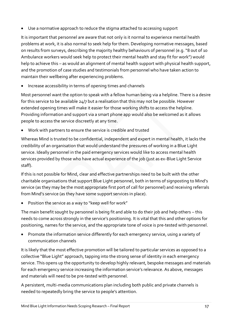Use a normative approach to reduce the stigma attached to accessing support

It is important that personnel are aware that not only is it normal to experience mental health problems at work, it is also normal to seek help for them. Developing normative messages, based on results from surveys, describing the majority healthy behaviours of personnel (e.g. "8 out of 10 Ambulance workers would seek help to protect their mental health and stay fit for work") would help to achieve this – as would an alignment of mental health support with physical health support, and the promotion of case studies and testimonials from personnel who have taken action to maintain their wellbeing after experiencing problems.

Increase accessibility in terms of opening times and channels

Most personnel want the option to speak with a fellow human being via a helpline. There is a desire for this service to be available 24/7 but a realisation that this may not be possible. However extended opening times will make it easier for those working shifts to access the helpline. Providing information and support via a smart phone app would also be welcomed as it allows people to access the service discreetly at any time.

Work with partners to ensure the service is credible and trusted

Whereas Mind is trusted to be confidential, independent and expert in mental health, it lacks the credibility of an organisation that would understand the pressures of working in a Blue Light service. Ideally personnel in the paid emergency services would like to access mental health services provided by those who have actual experience of the job (just as ex-Blue Light Service staff).

If this is not possible for Mind, clear and effective partnerships need to be built with the other charitable organisations that support Blue Light personnel, both in terms of signposting to Mind's service (as they may be the most appropriate first port of call for personnel) and receiving referrals from Mind's service (as they have some support services in place).

Position the service as a way to "keep well for work"

The main benefit sought by personnel is being fit and able to do their job and help others – this needs to come across strongly in the service's positioning. It is vital that this and other options for positioning, names for the service, and the appropriate tone of voice is pre-tested with personnel.

 Promote the information service differently for each emergency service, using a variety of communication channels

It is likely that the most effective promotion will be tailored to particular services as opposed to a collective "Blue Light" approach, tapping into the strong sense of identity in each emergency service. This opens up the opportunity to develop highly relevant, bespoke messages and materials for each emergency service increasing the information service's relevance. As above, messages and materials will need to be pre-tested with personnel.

A persistent, multi-media communications plan including both public and private channels is needed to repeatedly bring the service to people's attention.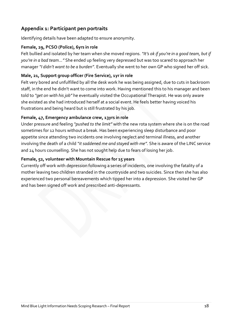# **Appendix 1: Participant pen portraits**

Identifying details have been adapted to ensure anonymity.

## **Female, 29, PCSO (Police), 6yrs in role**

Felt bullied and isolated by her team when she moved regions. *"It's ok if you're in a good team, but if you're in a bad team..."* She ended up feeling very depressed but was too scared to approach her manager *"I didn't want to be a burden"*. Eventually she went to her own GP who signed her off sick.

#### **Male, 21, Support group officer (Fire Service), 1yr in role**

Felt very bored and unfulfilled by all the desk work he was being assigned, due to cuts in backroom staff, in the end he didn't want to come into work. Having mentioned this to his manager and been told to *"get on with his job"* he eventually visited the Occupational Therapist. He was only aware she existed as she had introduced herself at a social event. He feels better having voiced his frustrations and being heard but is still frustrated by his job.

#### **Female, 47, Emergency ambulance crew, 13yrs in role**

Under pressure and feeling *"pushed to the limit"* with the new rota system where she is on the road sometimes for 12 hours without a break. Has been experiencing sleep disturbance and poor appetite since attending two incidents one involving neglect and terminal illness, and another involving the death of a child *"it saddened me and stayed with me".* She is aware of the LINC service and 24 hours counselling. She has not sought help due to fears of losing her job.

#### **Female, 52, volunteer with Mountain Rescue for 15 years**

Currently off work with depression following a series of incidents, one involving the fatality of a mother leaving two children stranded in the countryside and two suicides. Since then she has also experienced two personal bereavements which tipped her into a depression. She visited her GP and has been signed off work and prescribed anti-depressants.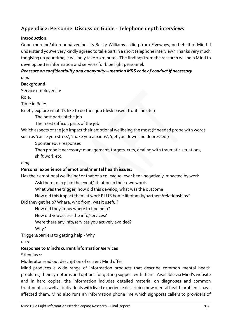# **Appendix 2: Personnel Discussion Guide - Telephone depth interviews**

#### **Introduction:**

Good morning/afternoon/evening, its Becky Williams calling from Fiveways, on behalf of Mind. I understand you've very kindly agreed to take part in a short telephone interview? Thanks very much for giving up your time, it will only take 20 minutes. The findings from the research will help Mind to develop better information and services for blue light personnel.

# *Reassure on confidentiality and anonymity – mention MRS code of conduct if necessary.*

*0:00*

## **Background:**

Service employed in:

Role:

Time in Role:

Briefly explore what it's like to do their job (desk based, front line etc.)

The best parts of the job

The most difficult parts of the job

Which aspects of the job impact their emotional wellbeing the most (if needed probe with words such as 'cause you stress', 'make you anxious', 'get you down and depressed')

Spontaneous responses

Then probe if necessary: management, targets, cuts, dealing with traumatic situations, shift work etc.

#### *0:05*

#### **Personal experience of emotional/mental health issues:**

Has their emotional wellbeing/ or that of a colleague, ever been negatively impacted by work

Ask them to explain the event/situation in their own words

What was the trigger, how did this develop, what was the outcome

How did this impact them at work PLUS home life/family/partners/relationships?

Did they get help? Where, who from, was it useful?

How did they know where to find help?

How did you access the info/services?

Were there any info/services you actively avoided?

Why?

Triggers/barriers to getting help - Why

*0:10*

## **Response to Mind's current information/services**

Stimulus 1:

Moderator read out description of current Mind offer:

Mind produces a wide range of information products that describe common mental health problems, their symptoms and options for getting support with them. Available via Mind's website and in hard copies, the information includes detailed material on diagnoses and common treatments as well as individuals with lived experience describing how mental health problems have affected them. Mind also runs an information phone line which signposts callers to providers of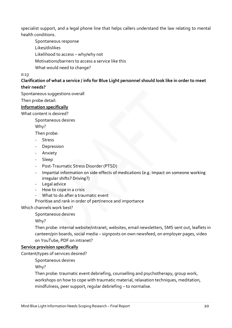specialist support, and a legal phone line that helps callers understand the law relating to mental health conditions.

Spontaneous response

Likes/dislikes

Likelihood to access – why/why not

Motivations/barriers to access a service like this

What would need to change?

#### *0:13*

#### **Clarification of what a service / info for Blue Light personnel should look like in order to meet their needs?**

Spontaneous suggestions overall

Then probe detail:

#### **Information specifically**

What content is desired?

Spontaneous desires

Why?

Then probe:

- Stress
- Depression
- Anxiety
- Sleep
- Post-Traumatic Stress Disorder (PTSD)
- Impartial information on side-effects of medications (e.g. Impact on someone working irregular shifts? Driving?)
- Legal advice
- How to cope in a crisis
- What to do after a traumatic event
- Prioritise and rank in order of pertinence and importance

#### Which channels work best?

Spontaneous desires

Why?

Then probe: internal website/intranet, websites, email newsletters, SMS sent out, leaflets in canteen/pin boards, social media – signposts on own newsfeed, on employer pages, video on YouTube, PDF on intranet?

#### **Service provision specifically**

Content/types of services desired?

Spontaneous desires

Why?

Then probe: traumatic event debriefing, counselling and psychotherapy, group work, workshops on how to cope with traumatic material, relaxation techniques, meditation, mindfulness, peer support, regular debriefing – to normalise.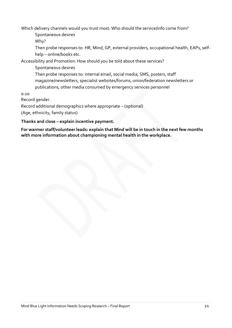Which delivery channels would you trust most: Who should the service/info come from?

Spontaneous desires

Why?

Then probe responses to: HR, Mind, GP, external providers, occupational health, EAPs, selfhelp – online/books etc.

Accessibility and Promotion: How should you be told about these services?

Spontaneous desires

Then probe responses to: internal email, social media, SMS, posters, staff magazine/newsletters, specialist websites/forums, union/federation newsletters or publications, other media consumed by emergency services personnel

0:20

Record gender.

Record additional demographics where appropriate – (optional)

(Age, ethnicity, family status)

#### **Thanks and close – explain incentive payment.**

**For warmer staff/volunteer leads: explain that Mind will be in touch in the next few months with more information about championing mental health in the workplace.**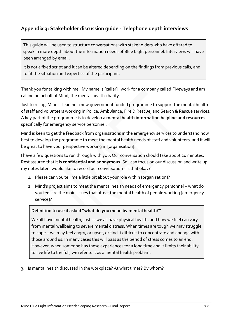# **Appendix 3: Stakeholder discussion guide - Telephone depth interviews**

This guide will be used to structure conversations with stakeholders who have offered to speak in more depth about the information needs of Blue Light personnel. Interviews will have been arranged by email.

It is not a fixed script and it can be altered depending on the findings from previous calls, and to fit the situation and expertise of the participant.

Thank you for talking with me. My name is [caller] I work for a company called Fiveways and am calling on behalf of Mind, the mental health charity.

Just to recap, Mind is leading a new government funded programme to support the mental health of staff and volunteers working in Police, Ambulance, Fire & Rescue, and Search & Rescue services. A key part of the programme is to develop a **mental health information helpline and resources** specifically for emergency service personnel.

Mind is keen to get the feedback from organisations in the emergency services to understand how best to develop the programme to meet the mental health needs of staff and volunteers, and it will be great to have your perspective working in [organisation].

I have a few questions to run through with you. Our conversation should take about 20 minutes. Rest assured that it is **confidential and anonymous**. So I can focus on our discussion and write up my notes later I would like to record our conversation - is that okay?

- 1. Please can you tell me a little bit about your role within [organisation]?
- 2. Mind's project aims to meet the mental health needs of emergency personnel what do you feel are the main issues that affect the mental health of people working [emergency service]?

#### **Definition to use if asked "what do you mean by mental health?"**

We all have mental health, just as we all have physical health, and how we feel can vary from mental wellbeing to severe mental distress. When times are tough we may struggle to cope – we may feel angry, or upset, or find it difficult to concentrate and engage with those around us. In many cases this will pass as the period of stress comes to an end. However, when someone has these experiences for a long time and it limits their ability to live life to the full, we refer to it as a mental health problem.

3. Is mental health discussed in the workplace? At what times? By whom?